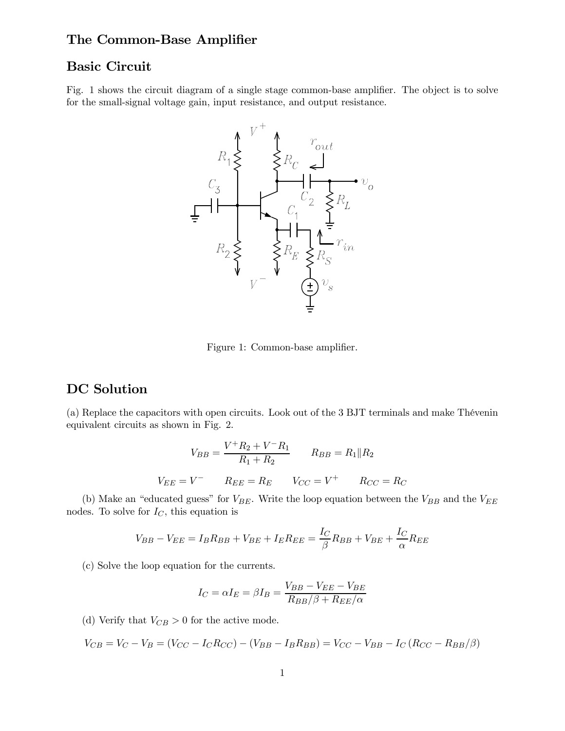## The Common-Base Amplifier

### Basic Circuit

Fig. 1 shows the circuit diagram of a single stage common-base amplifier. The object is to solve for the small-signal voltage gain, input resistance, and output resistance.



Figure 1: Common-base amplifier.

## DC Solution

(a) Replace the capacitors with open circuits. Look out of the 3 BJT terminals and make Thévenin equivalent circuits as shown in Fig. 2.

$$
V_{BB} = \frac{V^+ R_2 + V^- R_1}{R_1 + R_2} \qquad R_{BB} = R_1 \| R_2
$$

$$
V_{EE} = V^- \qquad R_{EE} = R_E \qquad V_{CC} = V^+ \qquad R_{CC} = R_C
$$

(b) Make an "educated guess" for  $V_{BE}$ . Write the loop equation between the  $V_{BB}$  and the  $V_{EE}$ nodes. To solve for  $I_C$ , this equation is

$$
V_{BB} - V_{EE} = I_B R_{BB} + V_{BE} + I_E R_{EE} = \frac{I_C}{\beta} R_{BB} + V_{BE} + \frac{I_C}{\alpha} R_{EE}
$$

(c) Solve the loop equation for the currents.

$$
I_C = \alpha I_E = \beta I_B = \frac{V_{BB} - V_{EE} - V_{BE}}{R_{BB}/\beta + R_{EE}/\alpha}
$$

(d) Verify that  $V_{CB} > 0$  for the active mode.

$$
V_{CB} = V_C - V_B = (V_{CC} - I_C R_{CC}) - (V_{BB} - I_B R_{BB}) = V_{CC} - V_{BB} - I_C (R_{CC} - R_{BB}/\beta)
$$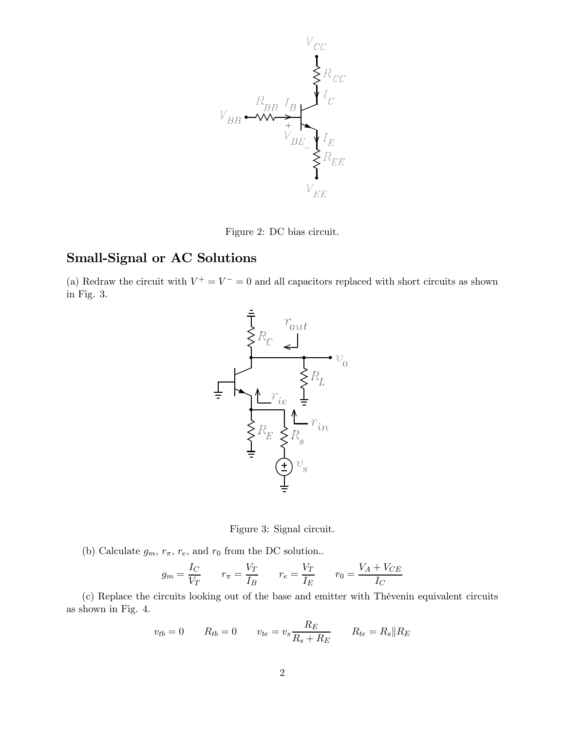

Figure 2: DC bias circuit.

# Small-Signal or AC Solutions

(a) Redraw the circuit with  $V^+ = V^- = 0$  and all capacitors replaced with short circuits as shown in Fig. 3.



Figure 3: Signal circuit.

(b) Calculate  $g_m$ ,  $r_{\pi}$ ,  $r_e$ , and  $r_0$  from the DC solution..

$$
g_m = \frac{I_C}{V_T} \qquad r_\pi = \frac{V_T}{I_B} \qquad r_e = \frac{V_T}{I_E} \qquad r_0 = \frac{V_A + V_{CE}}{I_C}
$$

(c) Replace the circuits looking out of the base and emitter with Thévenin equivalent circuits as shown in Fig. 4.

$$
v_{tb} = 0 \t R_{tb} = 0 \t v_{te} = v_s \frac{R_E}{R_s + R_E} \t R_{te} = R_s \| R_E
$$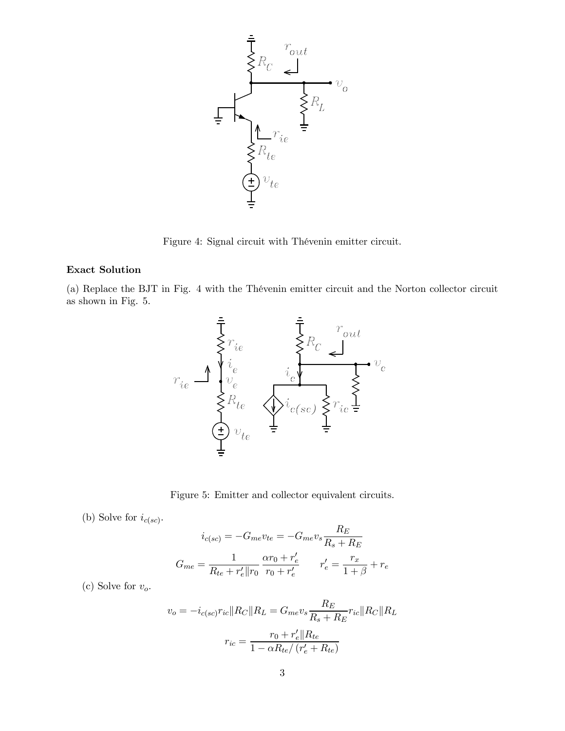

Figure 4: Signal circuit with Thévenin emitter circuit.

### Exact Solution

(a) Replace the BJT in Fig. 4 with the Thévenin emitter circuit and the Norton collector circuit as shown in Fig. 5.



Figure 5: Emitter and collector equivalent circuits.

(b) Solve for  $i_{c(sc)}$ .

$$
i_{c(se)} = -G_{me}v_{te} = -G_{me}v_s \frac{R_E}{R_s + R_E}
$$

$$
G_{me} = \frac{1}{R_{te} + r'_e || r_0} \frac{\alpha r_0 + r'_e}{r_0 + r'_e} \qquad r'_e = \frac{r_x}{1 + \beta} + r_e
$$

(c) Solve for  $v_o$ .

$$
v_o = -i_{c(se)} r_{ic} || R_C || R_L = G_{me} v_s \frac{R_E}{R_s + R_E} r_{ic} || R_C || R_L
$$

$$
r_{ic} = \frac{r_0 + r'_e || R_{te}}{1 - \alpha R_{te} / (r'_e + R_{te})}
$$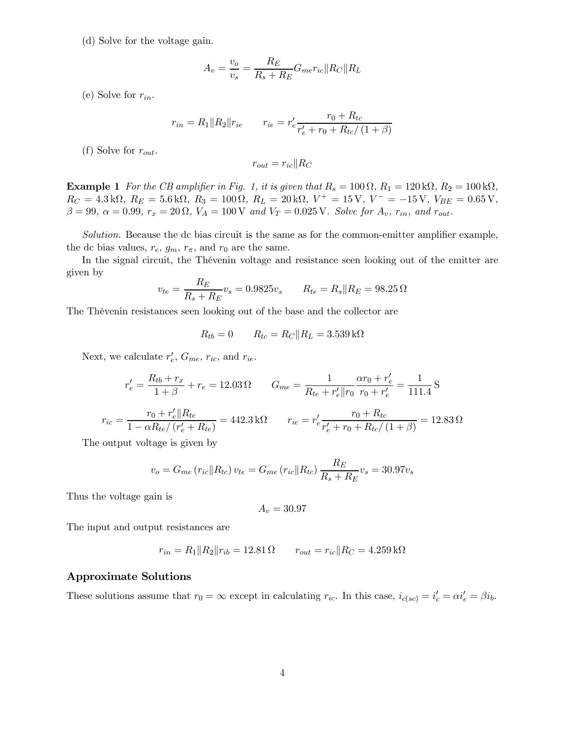(d) Solve for the voltage gain.

$$
A_v = \frac{v_o}{v_s} = \frac{R_E}{R_s + R_E} G_{me} r_{ic} || R_C || R_L
$$

(e) Solve for  $r_{in}$ .

$$
r_{in} = R_1 || R_2 || r_{ie} \qquad r_{ie} = r'_e \frac{r_0 + R_{tc}}{r'_e + r_0 + R_{tc}/(1+\beta)}
$$

(f) Solve for  $r_{out}$ .

$$
r_{out} = r_{ic} || R_C
$$

**Example 1** For the CB amplifier in Fig. 1, it is given that  $R_s = 100 \Omega$ ,  $R_1 = 120 \text{k}\Omega$ ,  $R_2 = 100 \text{k}\Omega$ ,  $R_C = 4.3 \,\text{k}\Omega$ ,  $R_E = 5.6 \,\text{k}\Omega$ ,  $R_3 = 100 \,\Omega$ ,  $R_L = 20 \,\text{k}\Omega$ ,  $V^+ = 15 \,\text{V}$ ,  $V^- = -15 \,\text{V}$ ,  $V_{BE} = 0.65 \,\text{V}$ ,  $\beta = 99, \ \alpha = 0.99, \ r_x = 20 \Omega, \ V_A = 100 \, \text{V}$  and  $V_T = 0.025 \, \text{V}$ . Solve for  $A_v$ ,  $r_{in}$ , and  $r_{out}$ .

Solution. Because the dc bias circuit is the same as for the common-emitter amplifier example, the dc bias values,  $r_e$ ,  $g_m$ ,  $r_{\pi}$ , and  $r_0$  are the same.

In the signal circuit, the Thévenin voltage and resistance seen looking out of the emitter are given by

$$
v_{te} = \frac{R_E}{R_s + R_E} v_s = 0.9825 v_s \qquad R_{te} = R_s \| R_E = 98.25 \,\Omega
$$

The Thévenin resistances seen looking out of the base and the collector are

$$
R_{tb} = 0 \qquad R_{tc} = R_C || R_L = 3.539 \,\mathrm{k}\Omega
$$

Next, we calculate  $r'_e$ ,  $G_{me}$ ,  $r_{ic}$ , and  $r_{ie}$ .

$$
r'_{e} = \frac{R_{tb} + r_x}{1 + \beta} + r_e = 12.03 \,\Omega \qquad G_{me} = \frac{1}{R_{te} + r'_{e} || r_0} \frac{\alpha r_0 + r'_{e}}{r_0 + r'_{e}} = \frac{1}{111.4} \,\text{S}
$$
\n
$$
r_{ic} = \frac{r_0 + r'_{e} || R_{te}}{1 - \alpha R_{te} / (r'_{e} + R_{te})} = 442.3 \,\text{k}\Omega \qquad r_{ie} = r'_{e} \frac{r_0 + R_{tc}}{r'_{e} + r_0 + R_{tc} / (1 + \beta)} = 12.83 \,\Omega
$$

The output voltage is given by

$$
v_o = G_{me} (r_{ic} || R_{tc}) v_{te} = G_{me} (r_{ic} || R_{tc}) \frac{R_E}{R_s + R_E} v_s = 30.97 v_s
$$

Thus the voltage gain is

$$
A_v=30.97
$$

The input and output resistances are

$$
r_{in} = R_1 || R_2 || r_{ib} = 12.81 \Omega \qquad r_{out} = r_{ic} || R_C = 4.259 \,\text{k}\Omega
$$

#### Approximate Solutions

These solutions assume that  $r_0 = \infty$  except in calculating  $r_{ic}$ . In this case,  $i_{c(sc)} = i'_c = \alpha i'_e = \beta i_b$ .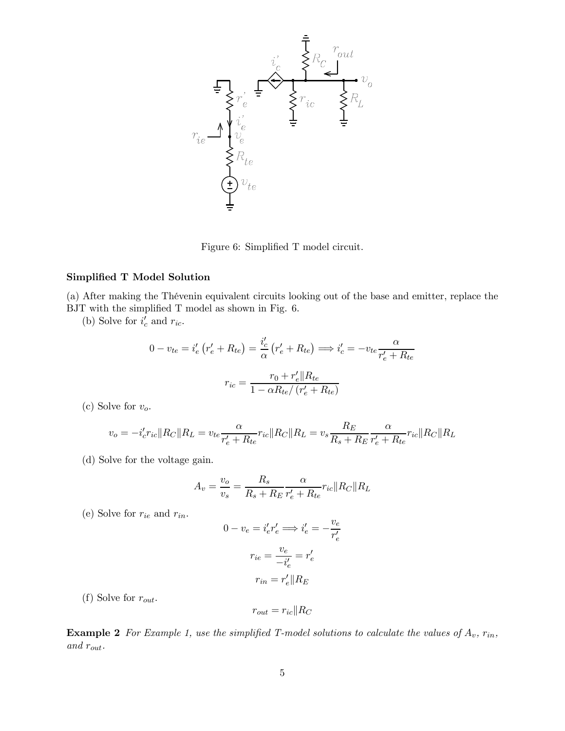

Figure 6: Simplified T model circuit.

#### Simplified T Model Solution

(a) After making the Thévenin equivalent circuits looking out of the base and emitter, replace the BJT with the simplified T model as shown in Fig. 6.

(b) Solve for  $i'_c$  and  $r_{ic}$ .

$$
0 - v_{te} = i'_e \left( r'_e + R_{te} \right) = \frac{i'_c}{\alpha} \left( r'_e + R_{te} \right) \Longrightarrow i'_c = -v_{te} \frac{\alpha}{r'_e + R_{te}}
$$

$$
r_{ic} = \frac{r_0 + r'_e || R_{te}}{1 - \alpha R_{te} / (r'_e + R_{te})}
$$

(c) Solve for  $v_o$ .

$$
v_o = -i'_{c}r_{ic}||R_C||R_L = v_{te}\frac{\alpha}{r'_{e} + R_{te}}r_{ic}||R_C||R_L = v_s\frac{R_E}{R_s + R_E}\frac{\alpha}{r'_{e} + R_{te}}r_{ic}||R_C||R_L
$$

(d) Solve for the voltage gain.

$$
A_v = \frac{v_o}{v_s} = \frac{R_s}{R_s + R_E} \frac{\alpha}{r'_e + R_{te}} r_{ic} || R_C || R_L
$$

(e) Solve for  $r_{ie}$  and  $r_{in}$ .

$$
0 - v_e = i'_e r'_e \Longrightarrow i'_e = -\frac{v_e}{r'_e}
$$

$$
r_{ie} = \frac{v_e}{-i'_e} = r'_e
$$

$$
r_{in} = r'_e || R_E
$$

(f) Solve for  $r_{out}$ .

$$
r_{out} = r_{ic} || R_C
$$

**Example 2** For Example 1, use the simplified T-model solutions to calculate the values of  $A_v$ ,  $r_{in}$ , and rout.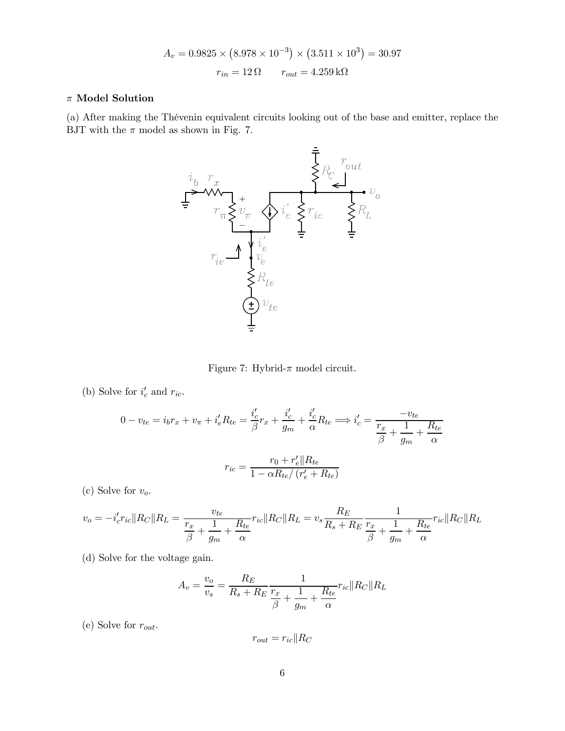$$
A_v = 0.9825 \times (8.978 \times 10^{-3}) \times (3.511 \times 10^3) = 30.97
$$
  

$$
r_{in} = 12 \Omega \qquad r_{out} = 4.259 \,\text{k}\Omega
$$

### $\pi$ Model Solution

(a) After making the Thévenin equivalent circuits looking out of the base and emitter, replace the BJT with the  $\pi$  model as shown in Fig. 7.



Figure 7: Hybrid-π model circuit.

(b) Solve for  $i'_c$  and  $r_{ic}$ .

$$
0 - v_{te} = i_b r_x + v_\pi + i'_e R_{te} = \frac{i'_c}{\beta} r_x + \frac{i'_c}{g_m} + \frac{i'_c}{\alpha} R_{te} \Longrightarrow i'_c = \frac{-v_{te}}{\frac{r_x}{\beta} + \frac{1}{g_m} + \frac{R_{te}}{\alpha}}
$$

$$
r_{ic} = \frac{r_0 + r'_e \parallel R_{te}}{1 - \alpha R_{te}/(r'_e + R_{te})}
$$

(c) Solve for  $v_o$ .

$$
v_o = -i_c' r_{ic} ||R_C|| R_L = \frac{v_{te}}{\frac{r_x}{\beta} + \frac{1}{g_m} + \frac{R_{te}}{\alpha}} r_{ic} ||R_C|| R_L = v_s \frac{R_E}{R_s + R_E} \frac{1}{\frac{r_x}{\beta} + \frac{1}{g_m} + \frac{R_{te}}{\alpha}} r_{ic} ||R_C|| R_L
$$

(d) Solve for the voltage gain.

$$
A_v = \frac{v_o}{v_s} = \frac{R_E}{R_s + R_E} \frac{1}{\frac{r_x}{\beta} + \frac{1}{g_m} + \frac{R_{te}}{\alpha}} r_{ic} \| R_C \| R_L
$$

(e) Solve for  $r_{out}$ .

$$
r_{out} = r_{ic} || R_C
$$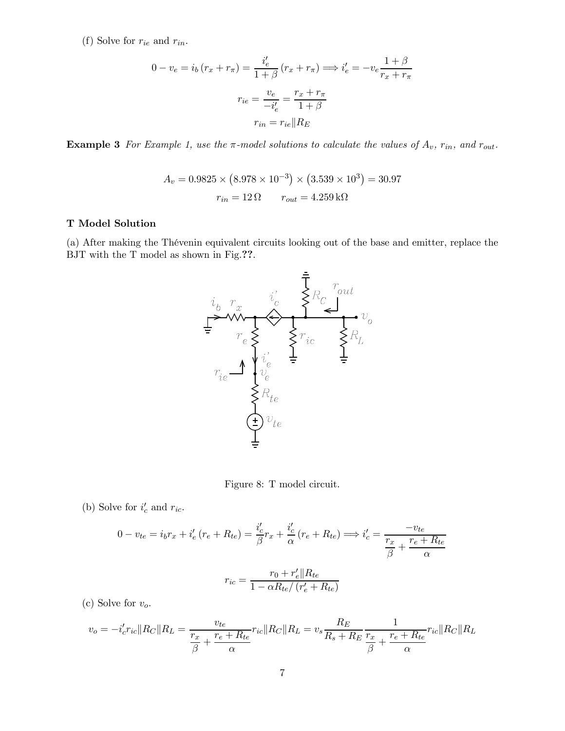(f) Solve for  $r_{ie}$  and  $r_{in}$ .

$$
0 - v_e = i_b (r_x + r_\pi) = \frac{i'_e}{1 + \beta} (r_x + r_\pi) \Longrightarrow i'_e = -v_e \frac{1 + \beta}{r_x + r_\pi}
$$

$$
r_{ie} = \frac{v_e}{-i'_e} = \frac{r_x + r_\pi}{1 + \beta}
$$

$$
r_{in} = r_{ie} || R_E
$$

**Example 3** For Example 1, use the  $\pi$ -model solutions to calculate the values of  $A_v$ ,  $r_{in}$ , and  $r_{out}$ .

$$
A_v = 0.9825 \times (8.978 \times 10^{-3}) \times (3.539 \times 10^3) = 30.97
$$
  

$$
r_{in} = 12 \Omega \qquad r_{out} = 4.259 \,\text{k}\Omega
$$

### T Model Solution

(a) After making the Thévenin equivalent circuits looking out of the base and emitter, replace the BJT with the T model as shown in Fig.??.



Figure 8: T model circuit.

(b) Solve for  $i'_c$  and  $r_{ic}$ .

$$
0 - v_{te} = i_b r_x + i'_e (r_e + R_{te}) = \frac{i'_c}{\beta} r_x + \frac{i'_c}{\alpha} (r_e + R_{te}) \Longrightarrow i'_c = \frac{-v_{te}}{\frac{r_x}{\beta} + \frac{r_e + R_{te}}{\alpha}}
$$

$$
r_{ic} = \frac{r_0 + r'_e || R_{te}}{1 - \alpha R_{te} / (r'_e + R_{te})}
$$

(c) Solve for  $v_o$ .

$$
v_o = -i'_{c}r_{ic}||R_C||R_L = \frac{v_{te}}{\frac{r_x}{\beta} + \frac{r_e + R_{te}}{\alpha}}r_{ic}||R_C||R_L = v_s \frac{R_E}{R_s + R_E} \frac{1}{\frac{r_x}{\beta} + \frac{r_e + R_{te}}{\alpha}}r_{ic}||R_C||R_L
$$